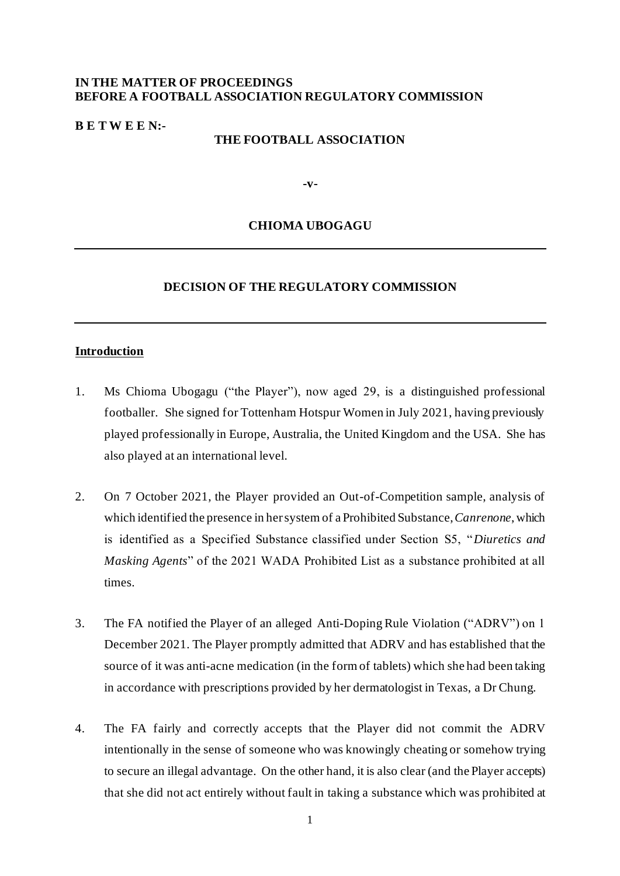## **IN THE MATTER OF PROCEEDINGS BEFORE A FOOTBALL ASSOCIATION REGULATORY COMMISSION**

#### **B E T W E E N:-**

#### **THE FOOTBALL ASSOCIATION**

**-v-**

### **CHIOMA UBOGAGU**

## **DECISION OF THE REGULATORY COMMISSION**

#### **Introduction**

- 1. Ms Chioma Ubogagu ("the Player"), now aged 29, is a distinguished professional footballer. She signed for Tottenham Hotspur Women in July 2021, having previously played professionally in Europe, Australia, the United Kingdom and the USA. She has also played at an international level.
- 2. On 7 October 2021, the Player provided an Out-of-Competition sample, analysis of which identified the presence in her system of a Prohibited Substance, *Canrenone*, which is identified as a Specified Substance classified under Section S5, "*Diuretics and Masking Agents*" of the 2021 WADA Prohibited List as a substance prohibited at all times.
- 3. The FA notified the Player of an alleged Anti-Doping Rule Violation ("ADRV") on 1 December 2021. The Player promptly admitted that ADRV and has established that the source of it was anti-acne medication (in the form of tablets) which she had been taking in accordance with prescriptions provided by her dermatologist in Texas, a Dr Chung.
- 4. The FA fairly and correctly accepts that the Player did not commit the ADRV intentionally in the sense of someone who was knowingly cheating or somehow trying to secure an illegal advantage. On the other hand, it is also clear (and the Player accepts) that she did not act entirely without fault in taking a substance which was prohibited at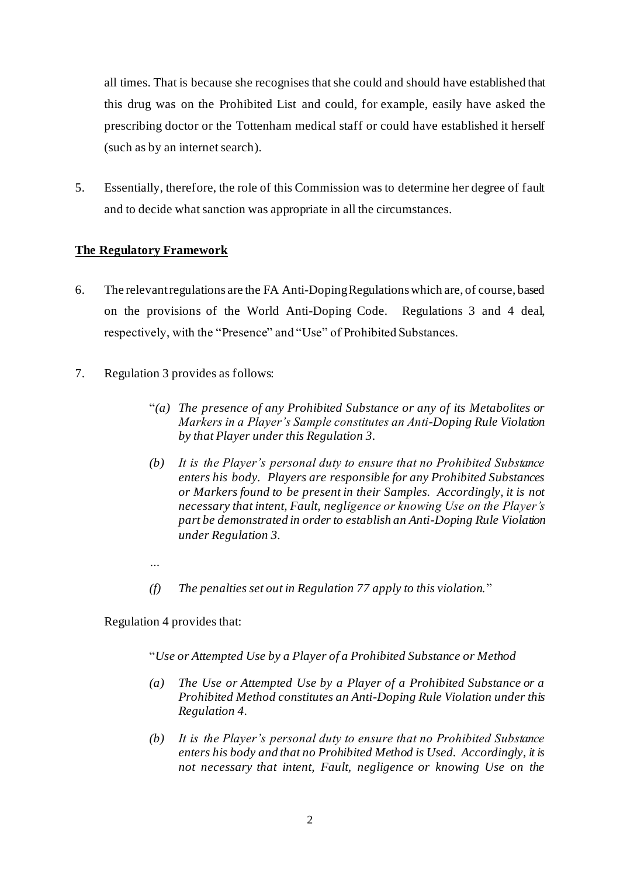all times. That is because she recognises that she could and should have established that this drug was on the Prohibited List and could, for example, easily have asked the prescribing doctor or the Tottenham medical staff or could have established it herself (such as by an internet search).

5. Essentially, therefore, the role of this Commission was to determine her degree of fault and to decide what sanction was appropriate in all the circumstances.

# **The Regulatory Framework**

- 6. The relevant regulations are the FA Anti-Doping Regulations which are, of course, based on the provisions of the World Anti-Doping Code. Regulations 3 and 4 deal, respectively, with the "Presence" and "Use" of Prohibited Substances.
- 7. Regulation 3 provides as follows:
	- "*(a) The presence of any Prohibited Substance or any of its Metabolites or Markers in a Player's Sample constitutes an Anti-Doping Rule Violation by that Player under this Regulation 3.*
	- *(b) It is the Player's personal duty to ensure that no Prohibited Substance enters his body. Players are responsible for any Prohibited Substances or Markers found to be present in their Samples. Accordingly, it is not necessary that intent, Fault, negligence or knowing Use on the Player's part be demonstrated in order to establish an Anti-Doping Rule Violation under Regulation 3.*
	- *…*
	- *(f) The penalties set out in Regulation 77 apply to this violation.*"

Regulation 4 provides that:

"*Use or Attempted Use by a Player of a Prohibited Substance or Method*

- *(a) The Use or Attempted Use by a Player of a Prohibited Substance or a Prohibited Method constitutes an Anti-Doping Rule Violation under this Regulation 4.*
- *(b) It is the Player's personal duty to ensure that no Prohibited Substance enters his body and that no Prohibited Method is Used. Accordingly, it is not necessary that intent, Fault, negligence or knowing Use on the*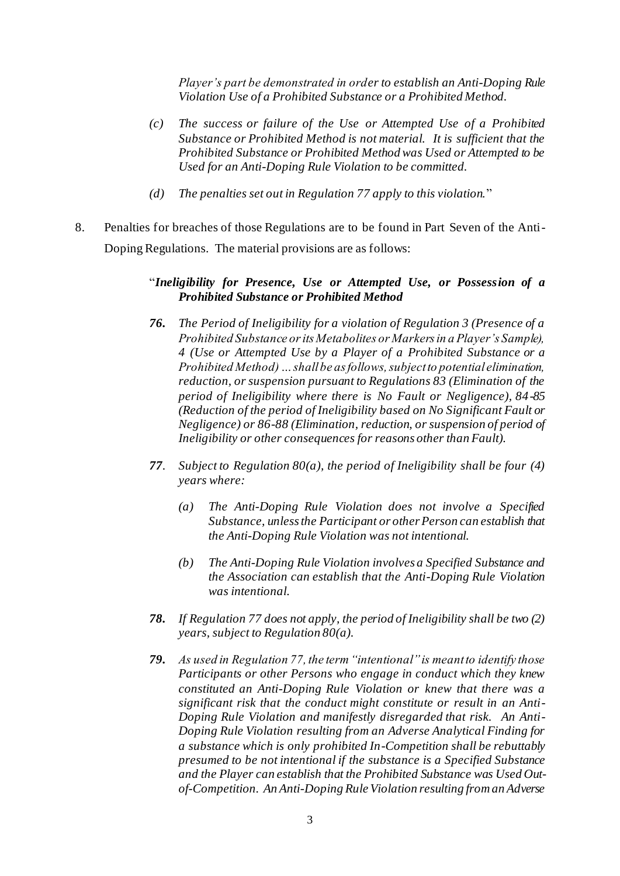*Player's part be demonstrated in order to establish an Anti-Doping Rule Violation Use of a Prohibited Substance or a Prohibited Method.* 

- *(c) The success or failure of the Use or Attempted Use of a Prohibited Substance or Prohibited Method is not material. It is sufficient that the Prohibited Substance or Prohibited Method was Used or Attempted to be Used for an Anti-Doping Rule Violation to be committed.*
- *(d) The penalties set out in Regulation 77 apply to this violation.*"
- 8. Penalties for breaches of those Regulations are to be found in Part Seven of the Anti-Doping Regulations. The material provisions are as follows:

## "*Ineligibility for Presence, Use or Attempted Use, or Possession of a Prohibited Substance or Prohibited Method*

- *76. The Period of Ineligibility for a violation of Regulation 3 (Presence of a Prohibited Substance or its Metabolites or Markers in a Player's Sample), 4 (Use or Attempted Use by a Player of a Prohibited Substance or a Prohibited Method) … shall be as follows, subject to potential elimination, reduction, or suspension pursuant to Regulations 83 (Elimination of the period of Ineligibility where there is No Fault or Negligence), 84-85 (Reduction of the period of Ineligibility based on No Significant Fault or Negligence) or 86-88 (Elimination, reduction, or suspension of period of Ineligibility or other consequences for reasons other than Fault).*
- *77. Subject to Regulation 80(a), the period of Ineligibility shall be four (4) years where:* 
	- *(a) The Anti-Doping Rule Violation does not involve a Specified Substance, unless the Participant or other Person can establish that the Anti-Doping Rule Violation was not intentional.*
	- *(b) The Anti-Doping Rule Violation involves a Specified Substance and the Association can establish that the Anti-Doping Rule Violation was intentional.*
- *78. If Regulation 77 does not apply, the period of Ineligibility shall be two (2) years, subject to Regulation 80(a).*
- *79. As used in Regulation 77, the term "intentional" is meant to identify those Participants or other Persons who engage in conduct which they knew constituted an Anti-Doping Rule Violation or knew that there was a significant risk that the conduct might constitute or result in an Anti-Doping Rule Violation and manifestly disregarded that risk. An Anti-Doping Rule Violation resulting from an Adverse Analytical Finding for a substance which is only prohibited In-Competition shall be rebuttably presumed to be not intentional if the substance is a Specified Substance and the Player can establish that the Prohibited Substance was Used Outof-Competition. An Anti-Doping Rule Violation resulting from an Adverse*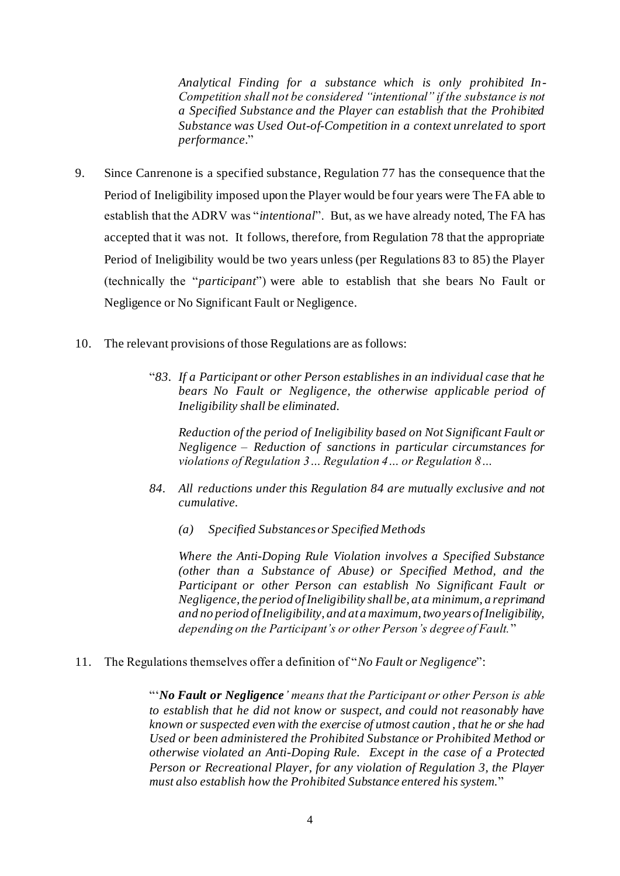*Analytical Finding for a substance which is only prohibited In-Competition shall not be considered "intentional" if the substance is not a Specified Substance and the Player can establish that the Prohibited Substance was Used Out-of-Competition in a context unrelated to sport performance.*"

- 9. Since Canrenone is a specified substance, Regulation 77 has the consequence that the Period of Ineligibility imposed upon the Player would be four years were The FA able to establish that the ADRV was "*intentional*". But, as we have already noted, The FA has accepted that it was not. It follows, therefore, from Regulation 78 that the appropriate Period of Ineligibility would be two years unless (per Regulations 83 to 85) the Player (technically the "*participant*") were able to establish that she bears No Fault or Negligence or No Significant Fault or Negligence.
- 10. The relevant provisions of those Regulations are as follows:
	- "*83. If a Participant or other Person establishes in an individual case that he bears No Fault or Negligence, the otherwise applicable period of Ineligibility shall be eliminated.*

*Reduction of the period of Ineligibility based on Not Significant Fault or Negligence – Reduction of sanctions in particular circumstances for violations of Regulation 3… Regulation 4… or Regulation 8…* 

- *84. All reductions under this Regulation 84 are mutually exclusive and not cumulative.* 
	- *(a) Specified Substances or Specified Methods*

*Where the Anti-Doping Rule Violation involves a Specified Substance (other than a Substance of Abuse) or Specified Method, and the Participant or other Person can establish No Significant Fault or Negligence, the period of Ineligibility shall be, at a minimum, a reprimand and no period of Ineligibility, and at a maximum, two years of Ineligibility, depending on the Participant's or other Person's degree of Fault.*"

11. The Regulations themselves offer a definition of "*No Fault or Negligence*":

"'*No Fault or Negligence' means that the Participant or other Person is able to establish that he did not know or suspect, and could not reasonably have known or suspected even with the exercise of utmost caution , that he or she had Used or been administered the Prohibited Substance or Prohibited Method or otherwise violated an Anti-Doping Rule. Except in the case of a Protected Person or Recreational Player, for any violation of Regulation 3, the Player must also establish how the Prohibited Substance entered his system.*"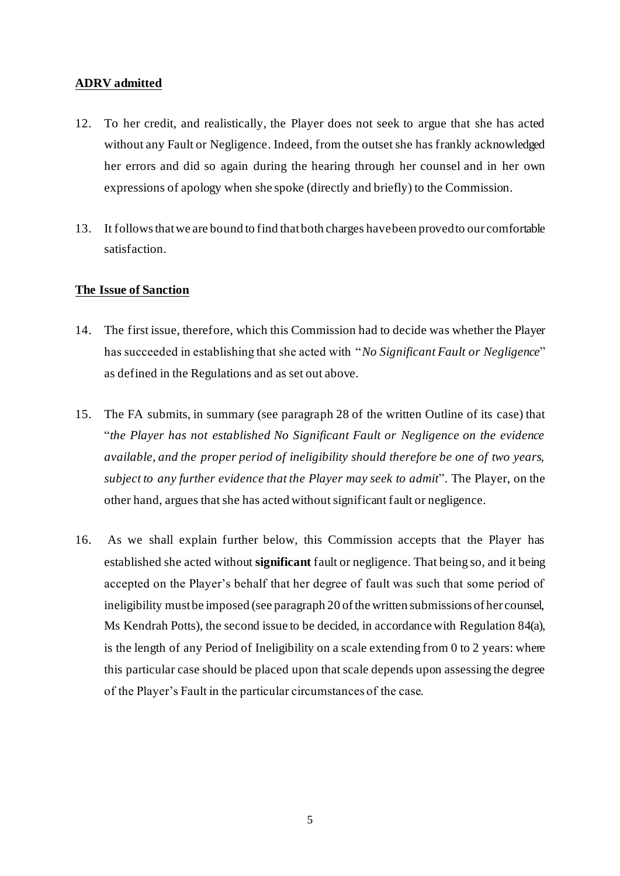## **ADRV admitted**

- 12. To her credit, and realistically, the Player does not seek to argue that she has acted without any Fault or Negligence. Indeed, from the outset she has frankly acknowledged her errors and did so again during the hearing through her counsel and in her own expressions of apology when she spoke (directly and briefly) to the Commission.
- 13. It follows that we are bound to find that both charges have been proved to our comfortable satisfaction.

## **The Issue of Sanction**

- 14. The first issue, therefore, which this Commission had to decide was whether the Player has succeeded in establishing that she acted with "*No Significant Fault or Negligence*" as defined in the Regulations and as set out above.
- 15. The FA submits, in summary (see paragraph 28 of the written Outline of its case) that "*the Player has not established No Significant Fault or Negligence on the evidence available, and the proper period of ineligibility should therefore be one of two years, subject to any further evidence that the Player may seek to admit*". The Player, on the other hand, argues that she has acted without significant fault or negligence.
- 16. As we shall explain further below, this Commission accepts that the Player has established she acted without **significant** fault or negligence. That being so, and it being accepted on the Player's behalf that her degree of fault was such that some period of ineligibility must be imposed (see paragraph 20 of the written submissions of her counsel, Ms Kendrah Potts), the second issue to be decided, in accordance with Regulation 84(a), is the length of any Period of Ineligibility on a scale extending from 0 to 2 years: where this particular case should be placed upon that scale depends upon assessing the degree of the Player's Fault in the particular circumstances of the case.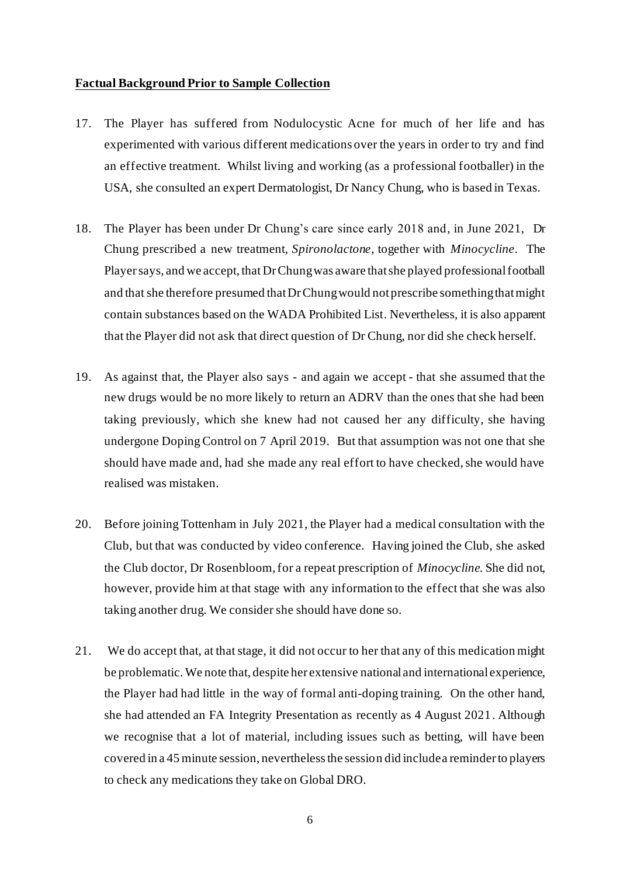#### **Factual Background Prior to Sample Collection**

- 17. The Player has suffered from Nodulocystic Acne for much of her life and has experimented with various different medications over the years in order to try and find an effective treatment. Whilst living and working (as a professional footballer) in the USA, she consulted an expert Dermatologist, Dr Nancy Chung, who is based in Texas.
- 18. The Player has been under Dr Chung's care since early 2018 and, in June 2021, Dr Chung prescribed a new treatment, *Spironolactone*, together with *Minocycline*. The Player says, and we accept, that Dr Chung was aware that she played professional football and that she therefore presumed that Dr Chung would not prescribe something that might contain substances based on the WADA Prohibited List. Nevertheless, it is also apparent that the Player did not ask that direct question of Dr Chung, nor did she check herself.
- 19. As against that, the Player also says and again we accept that she assumed that the new drugs would be no more likely to return an ADRV than the ones that she had been taking previously, which she knew had not caused her any difficulty, she having undergone Doping Control on 7 April 2019. But that assumption was not one that she should have made and, had she made any real effort to have checked, she would have realised was mistaken.
- 20. Before joining Tottenham in July 2021, the Player had a medical consultation with the Club, but that was conducted by video conference. Having joined the Club, she asked the Club doctor, Dr Rosenbloom, for a repeat prescription of *Minocycline*. She did not, however, provide him at that stage with any information to the effect that she was also taking another drug. We consider she should have done so.
- 21. We do accept that, at that stage, it did not occur to her that any of this medication might be problematic. We note that, despite her extensive national and international experience, the Player had had little in the way of formal anti-doping training. On the other hand, she had attended an FA Integrity Presentation as recently as 4 August 2021. Although we recognise that a lot of material, including issues such as betting, will have been covered in a 45 minute session, nevertheless the session did include a reminder to players to check any medications they take on Global DRO.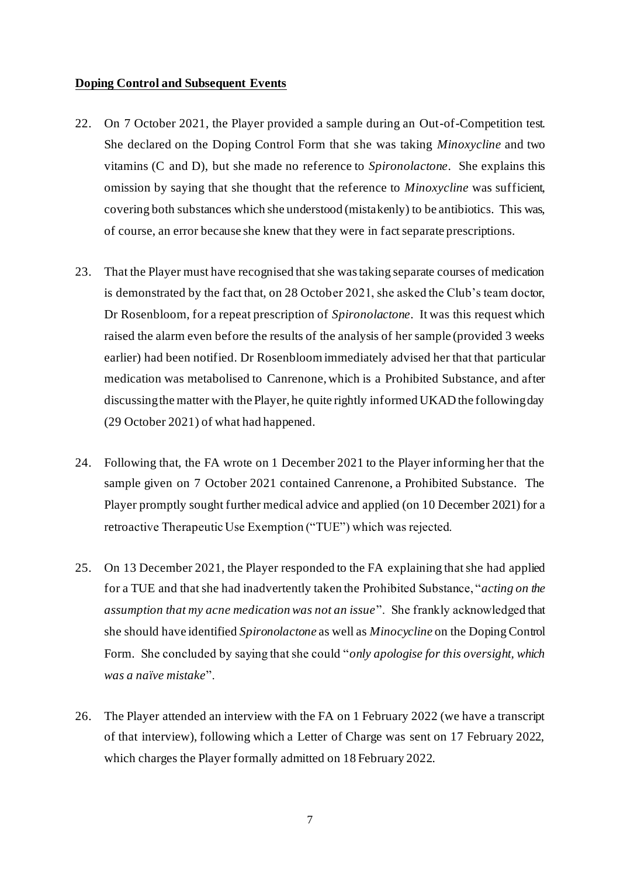#### **Doping Control and Subsequent Events**

- 22. On 7 October 2021, the Player provided a sample during an Out-of-Competition test. She declared on the Doping Control Form that she was taking *Minoxycline* and two vitamins (C and D), but she made no reference to *Spironolactone*. She explains this omission by saying that she thought that the reference to *Minoxycline* was sufficient, covering both substances which she understood (mistakenly) to be antibiotics. This was, of course, an error because she knew that they were in fact separate prescriptions.
- 23. That the Player must have recognised that she was taking separate courses of medication is demonstrated by the fact that, on 28 October 2021, she asked the Club's team doctor, Dr Rosenbloom, for a repeat prescription of *Spironolactone*. It was this request which raised the alarm even before the results of the analysis of her sample (provided 3 weeks earlier) had been notified. Dr Rosenbloom immediately advised her that that particular medication was metabolised to Canrenone, which is a Prohibited Substance, and after discussing the matter with the Player, he quite rightly informed UKAD the following day (29 October 2021) of what had happened.
- 24. Following that, the FA wrote on 1 December 2021 to the Player informing her that the sample given on 7 October 2021 contained Canrenone, a Prohibited Substance. The Player promptly sought further medical advice and applied (on 10 December 2021) for a retroactive Therapeutic Use Exemption ("TUE") which was rejected.
- 25. On 13 December 2021, the Player responded to the FA explaining that she had applied for a TUE and that she had inadvertently taken the Prohibited Substance, "*acting on the assumption that my acne medication was not an issue*". She frankly acknowledged that she should have identified *Spironolactone* as well as *Minocycline* on the Doping Control Form. She concluded by saying that she could "*only apologise for this oversight, which was a naïve mistake*".
- 26. The Player attended an interview with the FA on 1 February 2022 (we have a transcript of that interview), following which a Letter of Charge was sent on 17 February 2022, which charges the Player formally admitted on 18 February 2022.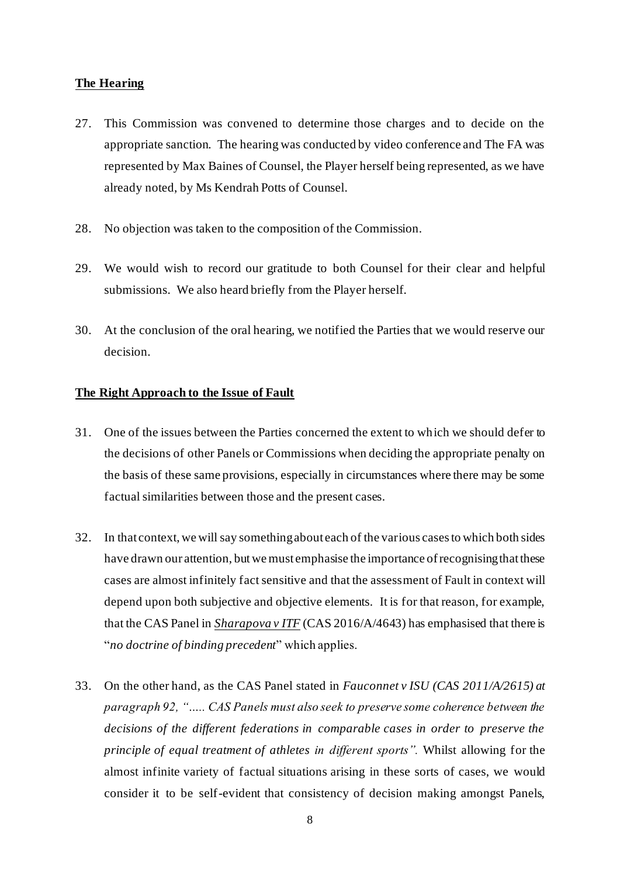#### **The Hearing**

- 27. This Commission was convened to determine those charges and to decide on the appropriate sanction. The hearing was conducted by video conference and The FA was represented by Max Baines of Counsel, the Player herself being represented, as we have already noted, by Ms Kendrah Potts of Counsel.
- 28. No objection was taken to the composition of the Commission.
- 29. We would wish to record our gratitude to both Counsel for their clear and helpful submissions. We also heard briefly from the Player herself.
- 30. At the conclusion of the oral hearing, we notified the Parties that we would reserve our decision.

## **The Right Approach to the Issue of Fault**

- 31. One of the issues between the Parties concerned the extent to which we should defer to the decisions of other Panels or Commissions when deciding the appropriate penalty on the basis of these same provisions, especially in circumstances where there may be some factual similarities between those and the present cases.
- 32. In that context, we will say something about each of the various cases to which both sides have drawn our attention, but we must emphasise the importance of recognising that these cases are almost infinitely fact sensitive and that the assessment of Fault in context will depend upon both subjective and objective elements. It is for that reason, for example, that the CAS Panel in *Sharapova v ITF* (CAS 2016/A/4643) has emphasised that there is "*no doctrine of binding precedent*" which applies.
- 33. On the other hand, as the CAS Panel stated in *Fauconnet v ISU (CAS 2011/A/2615) at paragraph 92, "….. CAS Panels must also seek to preserve some coherence between the decisions of the different federations in comparable cases in order to preserve the principle of equal treatment of athletes in different sports".* Whilst allowing for the almost infinite variety of factual situations arising in these sorts of cases, we would consider it to be self-evident that consistency of decision making amongst Panels,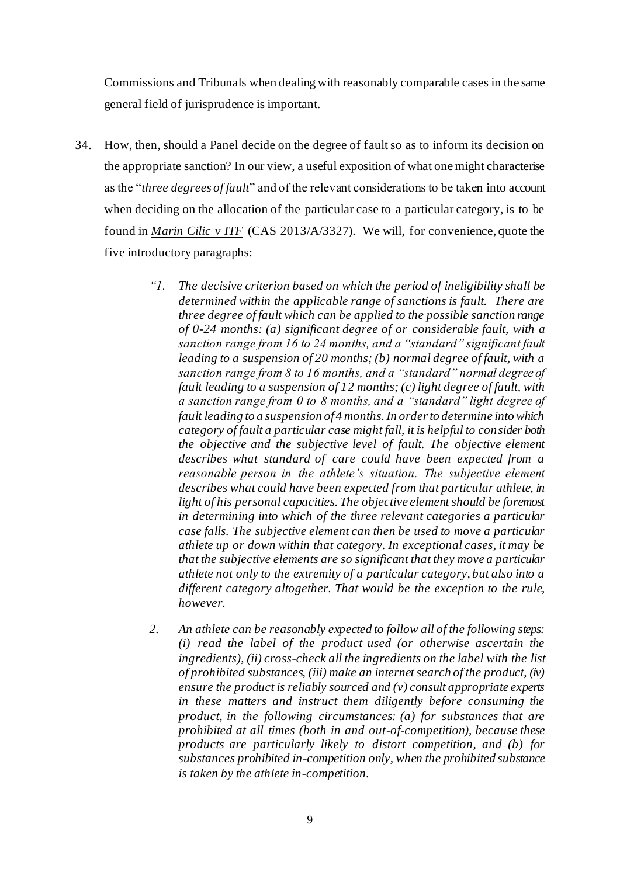Commissions and Tribunals when dealing with reasonably comparable cases in the same general field of jurisprudence is important.

- 34. How, then, should a Panel decide on the degree of fault so as to inform its decision on the appropriate sanction? In our view, a useful exposition of what one might characterise as the "*three degrees of fault*" and of the relevant considerations to be taken into account when deciding on the allocation of the particular case to a particular category, is to be found in *Marin Cilic v ITF* (CAS 2013/A/3327). We will, for convenience, quote the five introductory paragraphs:
	- *"1. The decisive criterion based on which the period of ineligibility shall be determined within the applicable range of sanctions is fault. There are three degree of fault which can be applied to the possible sanction range of 0-24 months: (a) significant degree of or considerable fault, with a sanction range from 16 to 24 months, and a "standard" significant fault leading to a suspension of 20 months; (b) normal degree of fault, with a sanction range from 8 to 16 months, and a "standard" normal degree of fault leading to a suspension of 12 months; (c) light degree of fault, with a sanction range from 0 to 8 months, and a "standard" light degree of fault leading to a suspension of 4 months. In order to determine into which category of fault a particular case might fall, it is helpful to consider both the objective and the subjective level of fault. The objective element describes what standard of care could have been expected from a reasonable person in the athlete's situation. The subjective element describes what could have been expected from that particular athlete, in light of his personal capacities. The objective element should be foremost in determining into which of the three relevant categories a particular case falls. The subjective element can then be used to move a particular athlete up or down within that category. In exceptional cases, it may be that the subjective elements are so significant that they move a particular athlete not only to the extremity of a particular category, but also into a different category altogether. That would be the exception to the rule, however.*
	- *2. An athlete can be reasonably expected to follow all of the following steps: (i) read the label of the product used (or otherwise ascertain the ingredients), (ii) cross-check all the ingredients on the label with the list of prohibited substances, (iii) make an internet search of the product, (iv) ensure the product is reliably sourced and (v) consult appropriate experts in these matters and instruct them diligently before consuming the product, in the following circumstances: (a) for substances that are prohibited at all times (both in and out-of-competition), because these products are particularly likely to distort competition, and (b) for substances prohibited in-competition only, when the prohibited substance is taken by the athlete in-competition.*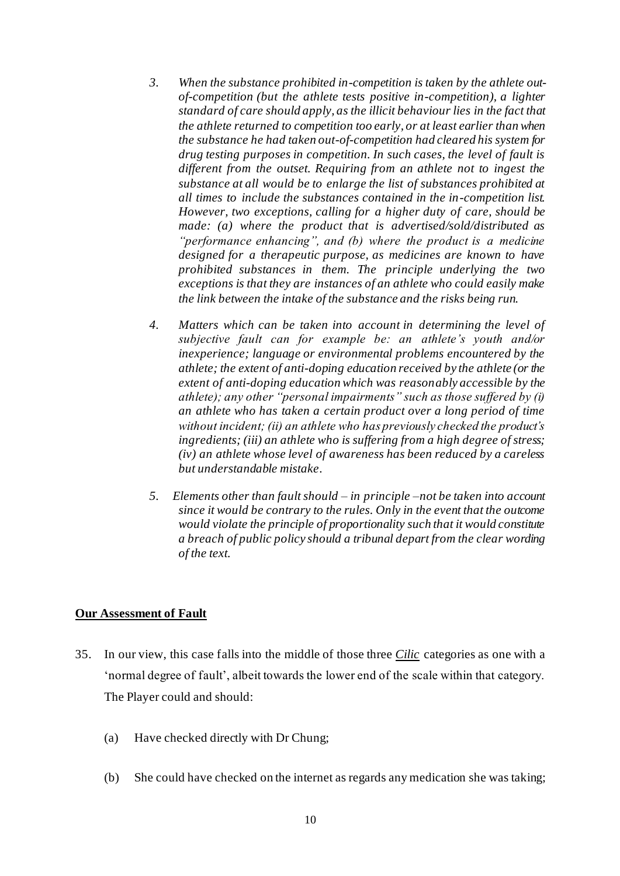- *3. When the substance prohibited in-competition is taken by the athlete outof-competition (but the athlete tests positive in-competition), a lighter standard of care should apply, as the illicit behaviour lies in the fact that the athlete returned to competition too early, or at least earlier than when the substance he had taken out-of-competition had cleared his system for drug testing purposes in competition. In such cases, the level of fault is different from the outset. Requiring from an athlete not to ingest the substance at all would be to enlarge the list of substances prohibited at all times to include the substances contained in the in-competition list. However, two exceptions, calling for a higher duty of care, should be made: (a) where the product that is advertised/sold/distributed as "performance enhancing", and (b) where the product is a medicine designed for a therapeutic purpose, as medicines are known to have prohibited substances in them. The principle underlying the two exceptions is that they are instances of an athlete who could easily make the link between the intake of the substance and the risks being run.*
- *4. Matters which can be taken into account in determining the level of subjective fault can for example be: an athlete's youth and/or inexperience; language or environmental problems encountered by the athlete; the extent of anti-doping education received by the athlete (or the extent of anti-doping education which was reasonably accessible by the athlete); any other "personal impairments" such as those suffered by (i) an athlete who has taken a certain product over a long period of time without incident; (ii) an athlete who has previously checked the product's ingredients; (iii) an athlete who is suffering from a high degree of stress; (iv) an athlete whose level of awareness has been reduced by a careless but understandable mistake.*
- *5. Elements other than fault should – in principle –not be taken into account since it would be contrary to the rules. Only in the event that the outcome would violate the principle of proportionality such that it would constitute a breach of public policy should a tribunal depart from the clear wording of the text.*

## **Our Assessment of Fault**

- 35. In our view, this case falls into the middle of those three *Cilic* categories as one with a 'normal degree of fault', albeit towards the lower end of the scale within that category. The Player could and should:
	- (a) Have checked directly with Dr Chung;
	- (b) She could have checked on the internet as regards any medication she was taking;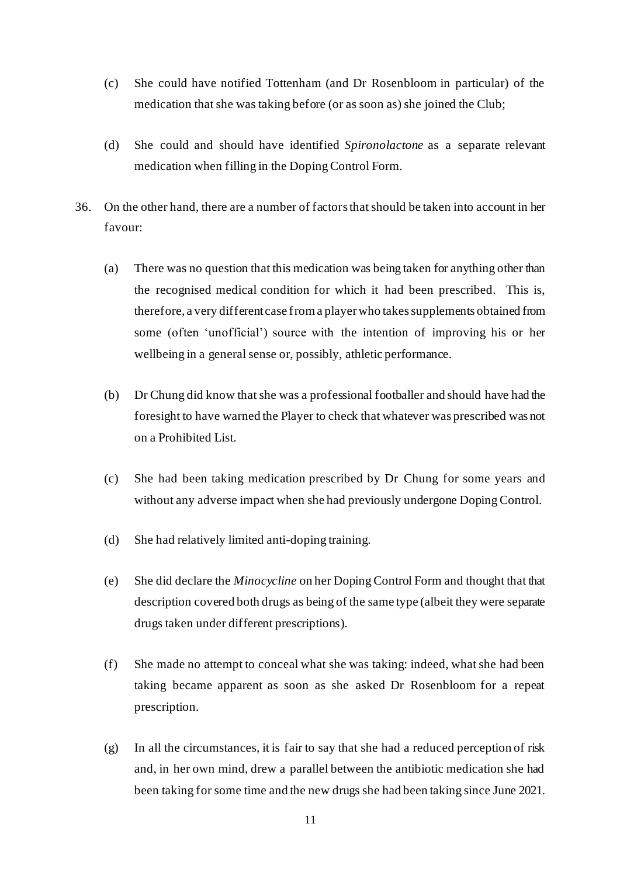- (c) She could have notified Tottenham (and Dr Rosenbloom in particular) of the medication that she was taking before (or as soon as) she joined the Club;
- (d) She could and should have identified *Spironolactone* as a separate relevant medication when filling in the Doping Control Form.
- 36. On the other hand, there are a number of factors that should be taken into account in her favour:
	- (a) There was no question that this medication was being taken for anything other than the recognised medical condition for which it had been prescribed. This is, therefore, a very different case from a player who takes supplements obtained from some (often 'unofficial') source with the intention of improving his or her wellbeing in a general sense or, possibly, athletic performance.
	- (b) Dr Chung did know that she was a professional footballer and should have had the foresight to have warned the Player to check that whatever was prescribed was not on a Prohibited List.
	- (c) She had been taking medication prescribed by Dr Chung for some years and without any adverse impact when she had previously undergone Doping Control.
	- (d) She had relatively limited anti-doping training.
	- (e) She did declare the *Minocycline* on her Doping Control Form and thought that that description covered both drugs as being of the same type (albeit they were separate drugs taken under different prescriptions).
	- (f) She made no attempt to conceal what she was taking: indeed, what she had been taking became apparent as soon as she asked Dr Rosenbloom for a repeat prescription.
	- $(g)$  In all the circumstances, it is fair to say that she had a reduced perception of risk and, in her own mind, drew a parallel between the antibiotic medication she had been taking for some time and the new drugs she had been taking since June 2021.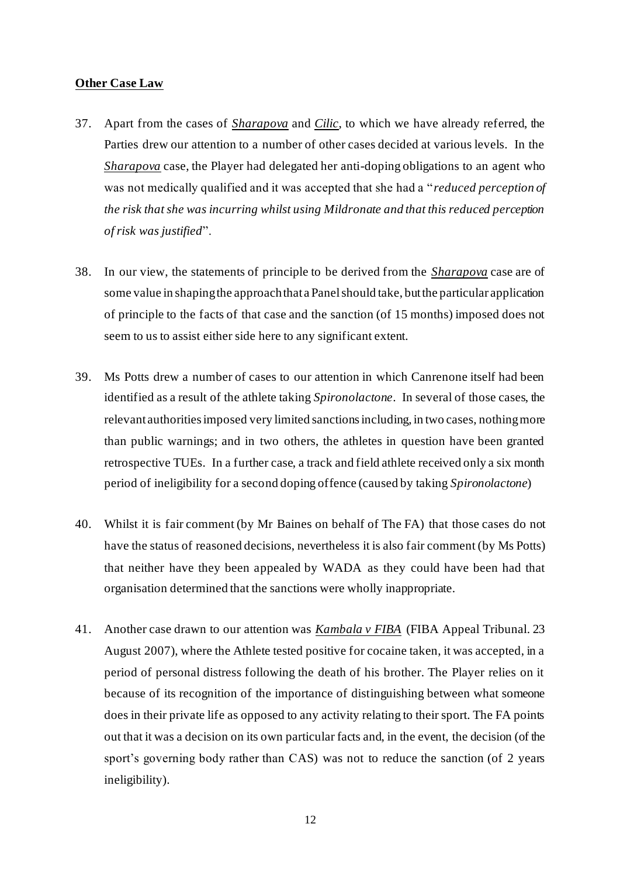### **Other Case Law**

- 37. Apart from the cases of *Sharapova* and *Cilic*, to which we have already referred, the Parties drew our attention to a number of other cases decided at various levels. In the *Sharapova* case, the Player had delegated her anti-doping obligations to an agent who was not medically qualified and it was accepted that she had a "*reduced perception of the risk that she was incurring whilst using Mildronate and that this reduced perception of risk was justified*".
- 38. In our view, the statements of principle to be derived from the *Sharapova* case are of some value in shaping the approach that a Panel should take, but the particular application of principle to the facts of that case and the sanction (of 15 months) imposed does not seem to us to assist either side here to any significant extent.
- 39. Ms Potts drew a number of cases to our attention in which Canrenone itself had been identified as a result of the athlete taking *Spironolactone*. In several of those cases, the relevant authorities imposed very limited sanctionsincluding, in two cases, nothing more than public warnings; and in two others, the athletes in question have been granted retrospective TUEs. In a further case, a track and field athlete received only a six month period of ineligibility for a second doping offence (caused by taking *Spironolactone*)
- 40. Whilst it is fair comment (by Mr Baines on behalf of The FA) that those cases do not have the status of reasoned decisions, nevertheless it is also fair comment (by Ms Potts) that neither have they been appealed by WADA as they could have been had that organisation determined that the sanctions were wholly inappropriate.
- 41. Another case drawn to our attention was *Kambala v FIBA* (FIBA Appeal Tribunal. 23 August 2007), where the Athlete tested positive for cocaine taken, it was accepted, in a period of personal distress following the death of his brother. The Player relies on it because of its recognition of the importance of distinguishing between what someone does in their private life as opposed to any activity relating to their sport. The FA points out that it was a decision on its own particular facts and, in the event, the decision (of the sport's governing body rather than CAS) was not to reduce the sanction (of 2 years ineligibility).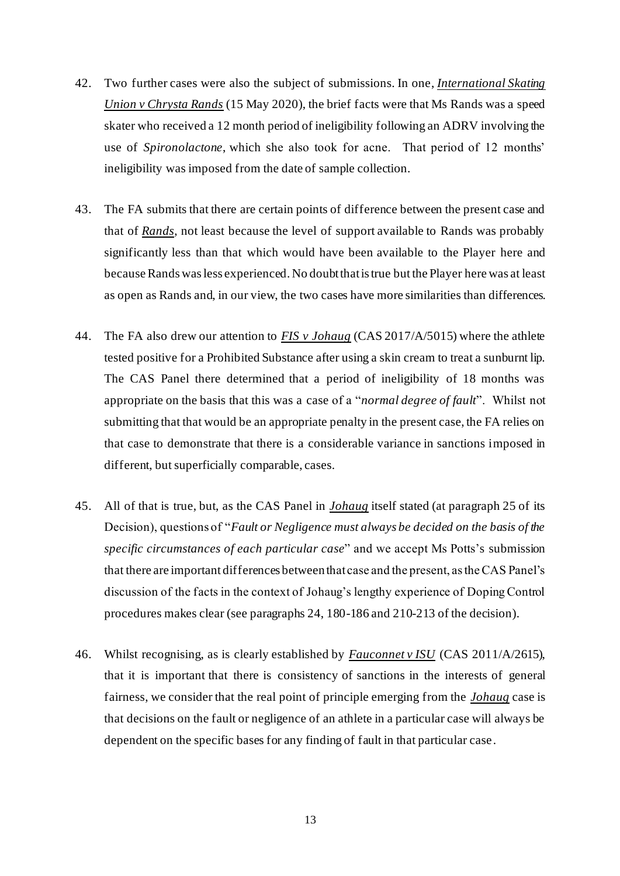- 42. Two further cases were also the subject of submissions. In one, *International Skating Union v Chrysta Rands* (15 May 2020), the brief facts were that Ms Rands was a speed skater who received a 12 month period of ineligibility following an ADRV involving the use of *Spironolactone*, which she also took for acne. That period of 12 months' ineligibility was imposed from the date of sample collection.
- 43. The FA submits that there are certain points of difference between the present case and that of *Rands*, not least because the level of support available to Rands was probably significantly less than that which would have been available to the Player here and because Rands was less experienced. No doubt that is true but the Player here was at least as open as Rands and, in our view, the two cases have more similarities than differences.
- 44. The FA also drew our attention to *FIS v Johaug* (CAS 2017/A/5015) where the athlete tested positive for a Prohibited Substance after using a skin cream to treat a sunburnt lip. The CAS Panel there determined that a period of ineligibility of 18 months was appropriate on the basis that this was a case of a "*normal degree of fault*". Whilst not submitting that that would be an appropriate penalty in the present case, the FA relies on that case to demonstrate that there is a considerable variance in sanctions imposed in different, but superficially comparable, cases.
- 45. All of that is true, but, as the CAS Panel in *Johaug* itself stated (at paragraph 25 of its Decision), questions of "*Fault or Negligence must always be decided on the basis of the specific circumstances of each particular case*" and we accept Ms Potts's submission that there are important differences between that case and the present, as the CAS Panel's discussion of the facts in the context of Johaug's lengthy experience of Doping Control procedures makes clear (see paragraphs 24, 180-186 and 210-213 of the decision).
- 46. Whilst recognising, as is clearly established by *Fauconnet v ISU* (CAS 2011/A/2615), that it is important that there is consistency of sanctions in the interests of general fairness, we consider that the real point of principle emerging from the *Johaug* case is that decisions on the fault or negligence of an athlete in a particular case will always be dependent on the specific bases for any finding of fault in that particular case.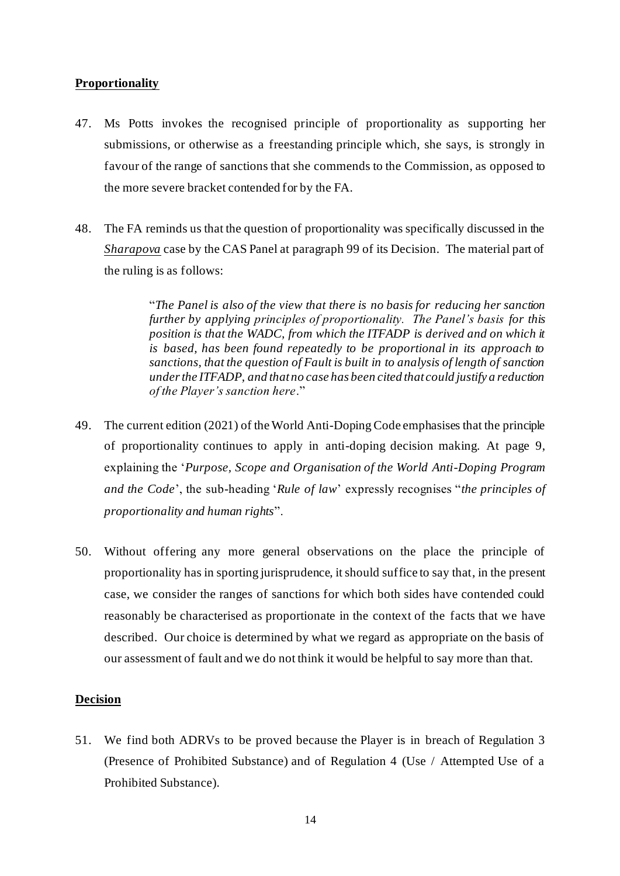# **Proportionality**

- 47. Ms Potts invokes the recognised principle of proportionality as supporting her submissions, or otherwise as a freestanding principle which, she says, is strongly in favour of the range of sanctions that she commends to the Commission, as opposed to the more severe bracket contended for by the FA.
- 48. The FA reminds us that the question of proportionality was specifically discussed in the *Sharapova* case by the CAS Panel at paragraph 99 of its Decision. The material part of the ruling is as follows:

"*The Panel is also of the view that there is no basis for reducing her sanction further by applying principles of proportionality. The Panel's basis for this position is that the WADC, from which the ITFADP is derived and on which it is based, has been found repeatedly to be proportional in its approach to sanctions, that the question of Fault is built in to analysis of length of sanction under the ITFADP, and that no case has been cited that could justify a reduction of the Player's sanction here*."

- 49. The current edition (2021) of the World Anti-Doping Code emphasises that the principle of proportionality continues to apply in anti-doping decision making. At page 9, explaining the '*Purpose, Scope and Organisation of the World Anti-Doping Program and the Code*', the sub-heading '*Rule of law*' expressly recognises "*the principles of proportionality and human rights*".
- 50. Without offering any more general observations on the place the principle of proportionality has in sporting jurisprudence, it should suffice to say that, in the present case, we consider the ranges of sanctions for which both sides have contended could reasonably be characterised as proportionate in the context of the facts that we have described. Our choice is determined by what we regard as appropriate on the basis of our assessment of fault and we do not think it would be helpful to say more than that.

## **Decision**

51. We find both ADRVs to be proved because the Player is in breach of Regulation 3 (Presence of Prohibited Substance) and of Regulation 4 (Use / Attempted Use of a Prohibited Substance).